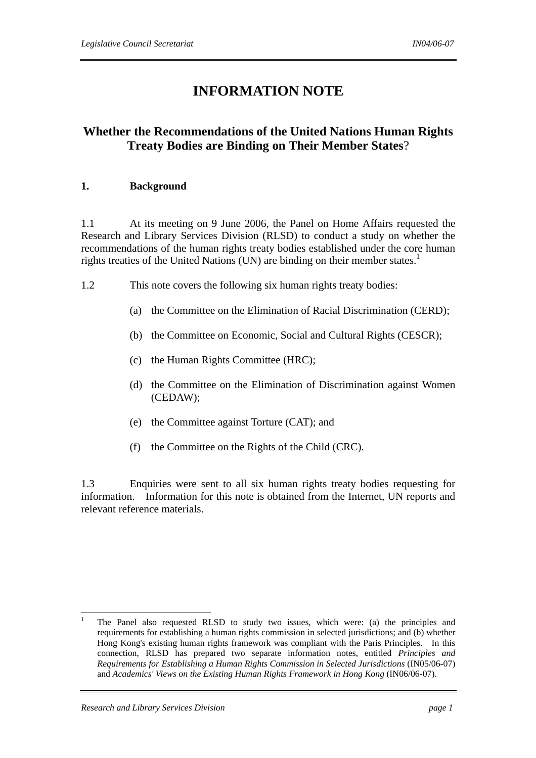# **INFORMATION NOTE**

## **Whether the Recommendations of the United Nations Human Rights Treaty Bodies are Binding on Their Member States**?

## **1. Background**

1.1 At its meeting on 9 June 2006, the Panel on Home Affairs requested the Research and Library Services Division (RLSD) to conduct a study on whether the recommendations of the human rights treaty bodies established under the core human rights treaties of the United Nations (UN) are binding on their member states.<sup>1</sup>

- 1.2 This note covers the following six human rights treaty bodies:
	- (a) the Committee on the Elimination of Racial Discrimination (CERD);
	- (b) the Committee on Economic, Social and Cultural Rights (CESCR);
	- (c) the Human Rights Committee (HRC);
	- (d) the Committee on the Elimination of Discrimination against Women (CEDAW);
	- (e) the Committee against Torture (CAT); and
	- (f) the Committee on the Rights of the Child (CRC).

1.3 Enquiries were sent to all six human rights treaty bodies requesting for information. Information for this note is obtained from the Internet, UN reports and relevant reference materials.

 $\overline{a}$ 1 The Panel also requested RLSD to study two issues, which were: (a) the principles and requirements for establishing a human rights commission in selected jurisdictions; and (b) whether Hong Kong's existing human rights framework was compliant with the Paris Principles. In this connection, RLSD has prepared two separate information notes, entitled *Principles and Requirements for Establishing a Human Rights Commission in Selected Jurisdictions* (IN05/06-07) and *Academics' Views on the Existing Human Rights Framework in Hong Kong* (IN06/06-07).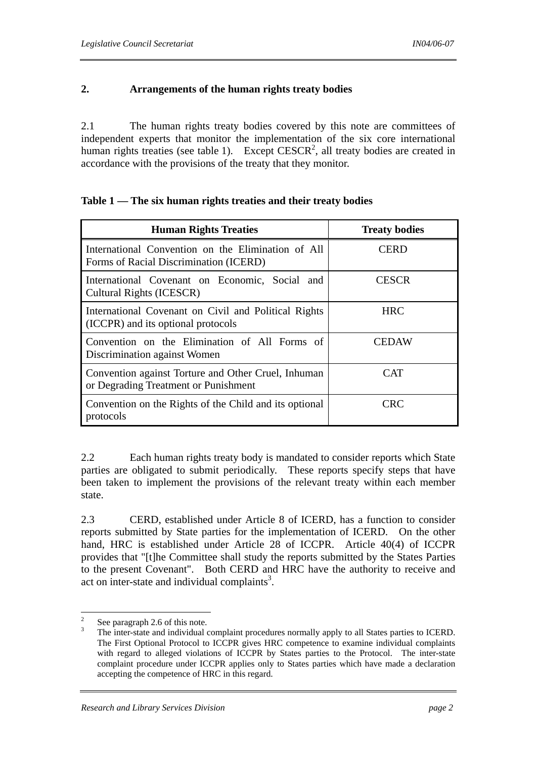## **2. Arrangements of the human rights treaty bodies**

2.1 The human rights treaty bodies covered by this note are committees of independent experts that monitor the implementation of the six core international human rights treaties (see table 1). Except  $CESCR<sup>2</sup>$ , all treaty bodies are created in accordance with the provisions of the treaty that they monitor.

| <b>Human Rights Treaties</b>                                                                 | <b>Treaty bodies</b> |  |
|----------------------------------------------------------------------------------------------|----------------------|--|
| International Convention on the Elimination of All<br>Forms of Racial Discrimination (ICERD) | <b>CERD</b>          |  |
| International Covenant on Economic, Social and<br>Cultural Rights (ICESCR)                   | <b>CESCR</b>         |  |
| International Covenant on Civil and Political Rights<br>(ICCPR) and its optional protocols   | <b>HRC</b>           |  |
| Convention on the Elimination of All Forms of<br>Discrimination against Women                | CEDAW                |  |
| Convention against Torture and Other Cruel, Inhuman<br>or Degrading Treatment or Punishment  | <b>CAT</b>           |  |
| Convention on the Rights of the Child and its optional<br>protocols                          | CRC                  |  |

## **Table 1 — The six human rights treaties and their treaty bodies**

2.2 Each human rights treaty body is mandated to consider reports which State parties are obligated to submit periodically. These reports specify steps that have been taken to implement the provisions of the relevant treaty within each member state.

2.3 CERD, established under Article 8 of ICERD, has a function to consider reports submitted by State parties for the implementation of ICERD. On the other hand, HRC is established under Article 28 of ICCPR. Article 40(4) of ICCPR provides that "[t]he Committee shall study the reports submitted by the States Parties to the present Covenant". Both CERD and HRC have the authority to receive and act on inter-state and individual complaints<sup>3</sup>.

 $\frac{1}{2}$ See paragraph 2.6 of this note.

<sup>3</sup> The inter-state and individual complaint procedures normally apply to all States parties to ICERD. The First Optional Protocol to ICCPR gives HRC competence to examine individual complaints with regard to alleged violations of ICCPR by States parties to the Protocol. The inter-state complaint procedure under ICCPR applies only to States parties which have made a declaration accepting the competence of HRC in this regard.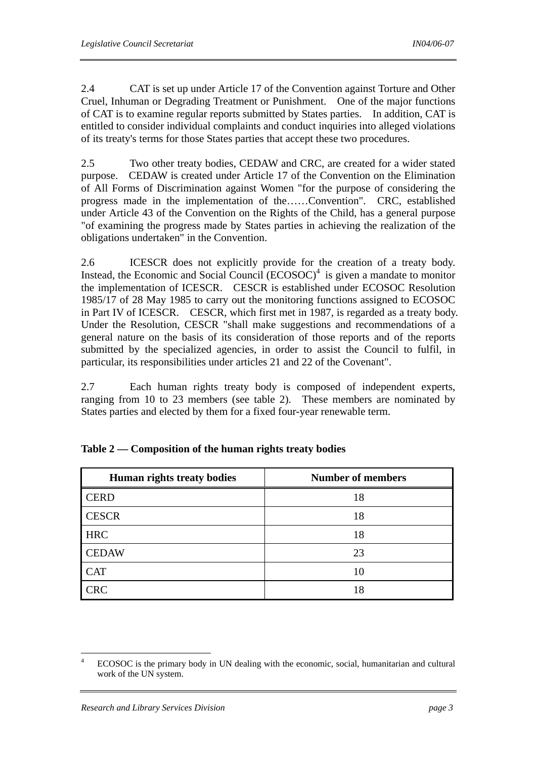2.4 CAT is set up under Article 17 of the Convention against Torture and Other Cruel, Inhuman or Degrading Treatment or Punishment. One of the major functions of CAT is to examine regular reports submitted by States parties. In addition, CAT is entitled to consider individual complaints and conduct inquiries into alleged violations of its treaty's terms for those States parties that accept these two procedures.

2.5 Two other treaty bodies, CEDAW and CRC, are created for a wider stated purpose. CEDAW is created under Article 17 of the Convention on the Elimination of All Forms of Discrimination against Women "for the purpose of considering the progress made in the implementation of the……Convention". CRC, established under Article 43 of the Convention on the Rights of the Child, has a general purpose "of examining the progress made by States parties in achieving the realization of the obligations undertaken" in the Convention.

2.6 ICESCR does not explicitly provide for the creation of a treaty body. Instead, the Economic and Social Council  $(ECOSOC)^4$  is given a mandate to monitor the implementation of ICESCR. CESCR is established under ECOSOC Resolution 1985/17 of 28 May 1985 to carry out the monitoring functions assigned to ECOSOC in Part IV of ICESCR. CESCR, which first met in 1987, is regarded as a treaty body. Under the Resolution, CESCR "shall make suggestions and recommendations of a general nature on the basis of its consideration of those reports and of the reports submitted by the specialized agencies, in order to assist the Council to fulfil, in particular, its responsibilities under articles 21 and 22 of the Covenant".

2.7 Each human rights treaty body is composed of independent experts, ranging from 10 to 23 members (see table 2). These members are nominated by States parties and elected by them for a fixed four-year renewable term.

| Human rights treaty bodies | <b>Number of members</b> |
|----------------------------|--------------------------|
| <b>CERD</b>                | 18                       |
| <b>CESCR</b>               | 18                       |
| <b>HRC</b>                 | 18                       |
| <b>CEDAW</b>               | 23                       |
| <b>CAT</b>                 | 10                       |
| <b>CRC</b>                 | 18                       |

|  | Table $2$ – Composition of the human rights treaty bodies |  |  |  |
|--|-----------------------------------------------------------|--|--|--|
|--|-----------------------------------------------------------|--|--|--|

 $\frac{1}{4}$  ECOSOC is the primary body in UN dealing with the economic, social, humanitarian and cultural work of the UN system.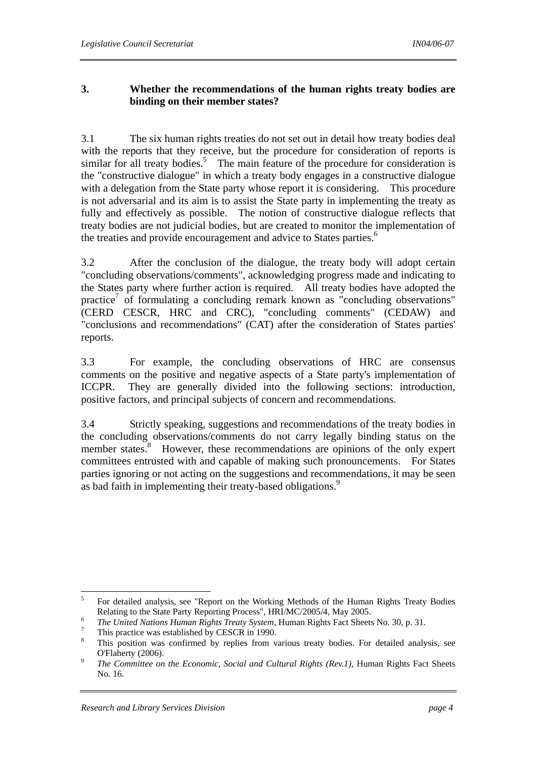## **3. Whether the recommendations of the human rights treaty bodies are binding on their member states?**

3.1 The six human rights treaties do not set out in detail how treaty bodies deal with the reports that they receive, but the procedure for consideration of reports is similar for all treaty bodies.<sup>5</sup> The main feature of the procedure for consideration is the "constructive dialogue" in which a treaty body engages in a constructive dialogue with a delegation from the State party whose report it is considering. This procedure is not adversarial and its aim is to assist the State party in implementing the treaty as fully and effectively as possible. The notion of constructive dialogue reflects that treaty bodies are not judicial bodies, but are created to monitor the implementation of the treaties and provide encouragement and advice to States parties.<sup>6</sup>

3.2 After the conclusion of the dialogue, the treaty body will adopt certain "concluding observations/comments", acknowledging progress made and indicating to the States party where further action is required. All treaty bodies have adopted the practice<sup>7</sup> of formulating a concluding remark known as "concluding observations" (CERD CESCR, HRC and CRC), "concluding comments" (CEDAW) and "conclusions and recommendations" (CAT) after the consideration of States parties' reports.

3.3 For example, the concluding observations of HRC are consensus comments on the positive and negative aspects of a State party's implementation of ICCPR. They are generally divided into the following sections: introduction, positive factors, and principal subjects of concern and recommendations.

3.4 Strictly speaking, suggestions and recommendations of the treaty bodies in the concluding observations/comments do not carry legally binding status on the member states.<sup>8</sup> However, these recommendations are opinions of the only expert committees entrusted with and capable of making such pronouncements. For States parties ignoring or not acting on the suggestions and recommendations, it may be seen as bad faith in implementing their treaty-based obligations.<sup>9</sup>

 5 For detailed analysis, see "Report on the Working Methods of the Human Rights Treaty Bodies Relating to the State Party Reporting Process", HRI/MC/2005/4, May 2005.

<sup>&</sup>lt;sup>6</sup> The United Nations Human Rights Treaty System, Human Rights Fact Sheets No. 30, p. 31.

This practice was established by CESCR in 1990.

<sup>8</sup> This position was confirmed by replies from various treaty bodies. For detailed analysis, see O'Flaherty (2006).

*The Committee on the Economic, Social and Cultural Rights (Rev.1)*, Human Rights Fact Sheets No. 16.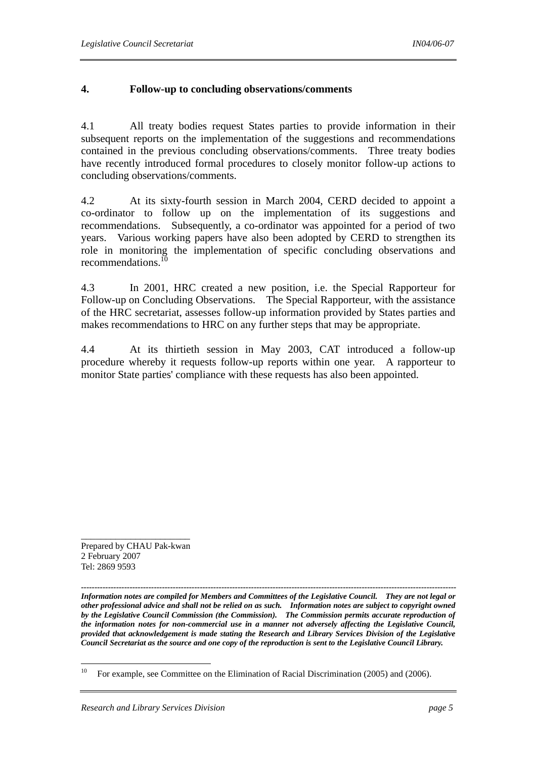## **4. Follow-up to concluding observations/comments**

4.1 All treaty bodies request States parties to provide information in their subsequent reports on the implementation of the suggestions and recommendations contained in the previous concluding observations/comments. Three treaty bodies have recently introduced formal procedures to closely monitor follow-up actions to concluding observations/comments.

4.2 At its sixty-fourth session in March 2004, CERD decided to appoint a co-ordinator to follow up on the implementation of its suggestions and recommendations. Subsequently, a co-ordinator was appointed for a period of two years. Various working papers have also been adopted by CERD to strengthen its role in monitoring the implementation of specific concluding observations and recommendations. $^{10}$ 

4.3 In 2001, HRC created a new position, i.e. the Special Rapporteur for Follow-up on Concluding Observations. The Special Rapporteur, with the assistance of the HRC secretariat, assesses follow-up information provided by States parties and makes recommendations to HRC on any further steps that may be appropriate.

4.4 At its thirtieth session in May 2003, CAT introduced a follow-up procedure whereby it requests follow-up reports within one year. A rapporteur to monitor State parties' compliance with these requests has also been appointed.

Prepared by CHAU Pak-kwan 2 February 2007 Tel: 2869 9593

\_\_\_\_\_\_\_\_\_\_\_\_\_\_\_\_\_\_\_\_\_\_

*------------------------------------------------------------------------------------------------------------------------------------------- Information notes are compiled for Members and Committees of the Legislative Council. They are not legal or other professional advice and shall not be relied on as such. Information notes are subject to copyright owned by the Legislative Council Commission (the Commission). The Commission permits accurate reproduction of the information notes for non-commercial use in a manner not adversely affecting the Legislative Council, provided that acknowledgement is made stating the Research and Library Services Division of the Legislative Council Secretariat as the source and one copy of the reproduction is sent to the Legislative Council Library.*

 $10$ 10 For example, see Committee on the Elimination of Racial Discrimination (2005) and (2006).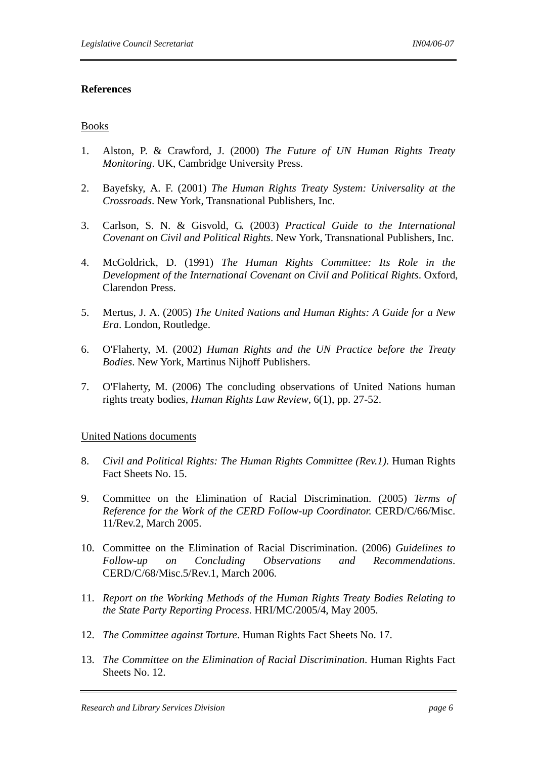#### **References**

#### Books

- 1. Alston, P. & Crawford, J. (2000) *The Future of UN Human Rights Treaty Monitoring*. UK, Cambridge University Press.
- 2. Bayefsky, A. F. (2001) *The Human Rights Treaty System: Universality at the Crossroads*. New York, Transnational Publishers, Inc.
- 3. Carlson, S. N. & Gisvold, G. (2003) *Practical Guide to the International Covenant on Civil and Political Rights*. New York, Transnational Publishers, Inc.
- 4. McGoldrick, D. (1991) *The Human Rights Committee: Its Role in the Development of the International Covenant on Civil and Political Rights*. Oxford, Clarendon Press.
- 5. Mertus, J. A. (2005) *The United Nations and Human Rights: A Guide for a New Era*. London, Routledge.
- 6. O'Flaherty, M. (2002) *Human Rights and the UN Practice before the Treaty Bodies*. New York, Martinus Nijhoff Publishers.
- 7. O'Flaherty, M. (2006) The concluding observations of United Nations human rights treaty bodies, *Human Rights Law Review*, 6(1), pp. 27-52.

#### United Nations documents

- 8. *Civil and Political Rights: The Human Rights Committee (Rev.1)*. Human Rights Fact Sheets No. 15.
- 9. Committee on the Elimination of Racial Discrimination. (2005) *Terms of Reference for the Work of the CERD Follow-up Coordinator.* CERD/C/66/Misc. 11/Rev.2, March 2005.
- 10. Committee on the Elimination of Racial Discrimination. (2006) *Guidelines to Follow-up on Concluding Observations and Recommendations*. CERD/C/68/Misc.5/Rev.1, March 2006.
- 11. *Report on the Working Methods of the Human Rights Treaty Bodies Relating to the State Party Reporting Process*. HRI/MC/2005/4, May 2005.
- 12. *The Committee against Torture*. Human Rights Fact Sheets No. 17.
- 13. *The Committee on the Elimination of Racial Discrimination*. Human Rights Fact Sheets No. 12.